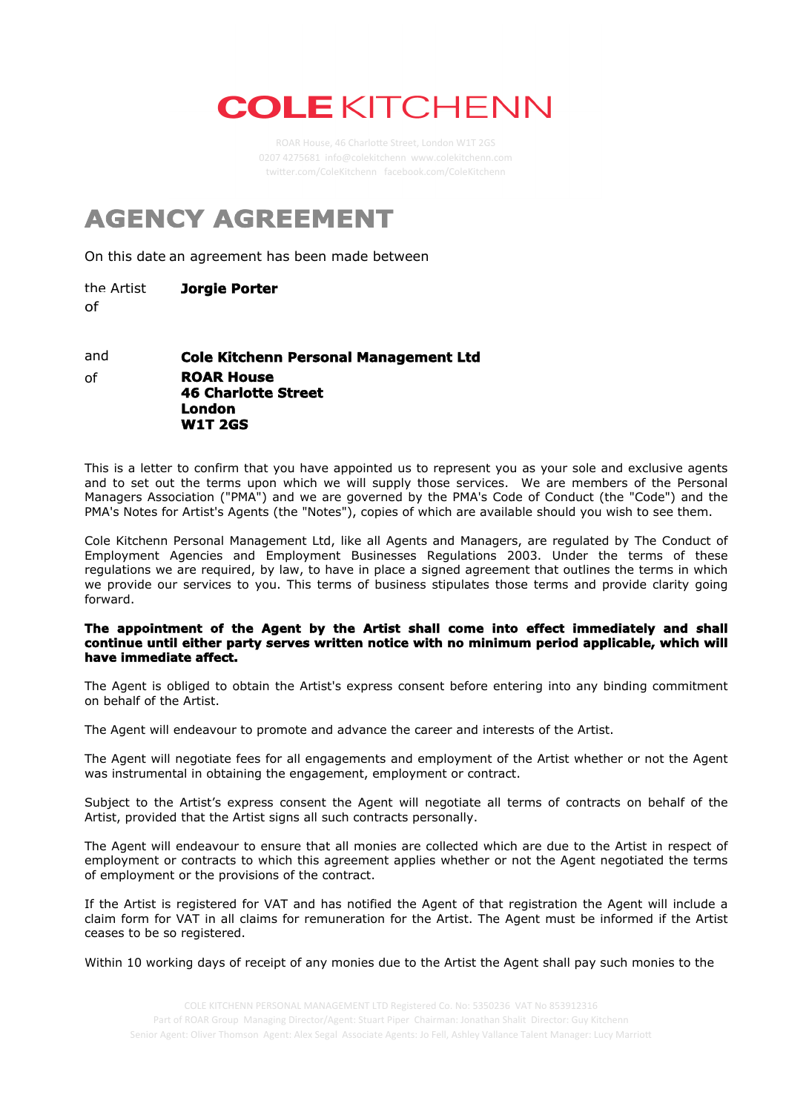## **COLE KITCHENN**

## **AGENCY AGREEMENT**

On this date an agreement has been made between

the Artist of **Jorgie Porter**

**ROAR House 46 Charlotte Street London W1T 2GS** of and **Cole Kitchenn Personal Management Ltd**

This is a letter to confirm that you have appointed us to represent you as your sole and exclusive agents and to set out the terms upon which we will supply those services. We are members of the Personal Managers Association ("PMA") and we are governed by the PMA's Code of Conduct (the "Code") and the PMA's Notes for Artist's Agents (the "Notes"), copies of which are available should you wish to see them.

Cole Kitchenn Personal Management Ltd, like all Agents and Managers, are regulated by The Conduct of Employment Agencies and Employment Businesses Regulations 2003. Under the terms of these regulations we are required, by law, to have in place a signed agreement that outlines the terms in which we provide our services to you. This terms of business stipulates those terms and provide clarity going forward.

## **The appointment of the Agent by the Artist shall come into effect immediately and shall continue until either party serves written notice with no minimum period applicable, which will have immediate affect.**

The Agent is obliged to obtain the Artist's express consent before entering into any binding commitment on behalf of the Artist.

The Agent will endeavour to promote and advance the career and interests of the Artist.

The Agent will negotiate fees for all engagements and employment of the Artist whether or not the Agent was instrumental in obtaining the engagement, employment or contract.

Subject to the Artist's express consent the Agent will negotiate all terms of contracts on behalf of the Artist, provided that the Artist signs all such contracts personally.

The Agent will endeavour to ensure that all monies are collected which are due to the Artist in respect of employment or contracts to which this agreement applies whether or not the Agent negotiated the terms of employment or the provisions of the contract.

If the Artist is registered for VAT and has notified the Agent of that registration the Agent will include a claim form for VAT in all claims for remuneration for the Artist. The Agent must be informed if the Artist ceases to be so registered.

Within 10 working days of receipt of any monies due to the Artist the Agent shall pay such monies to the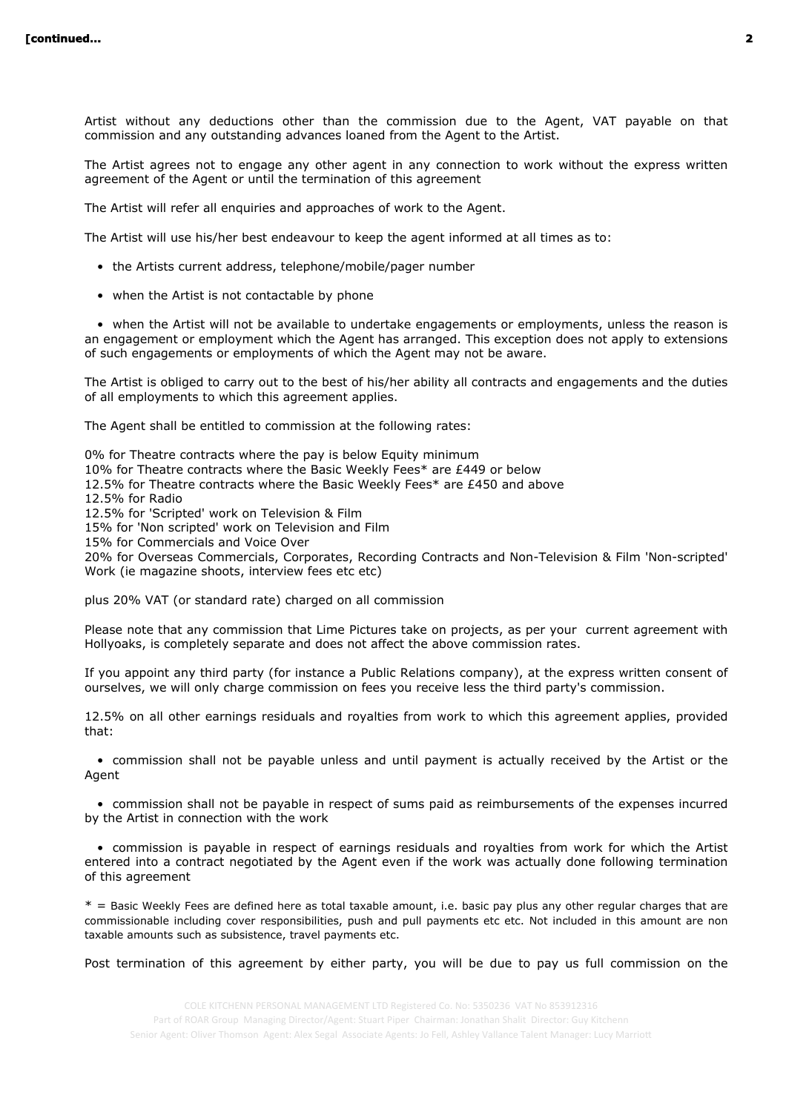Artist without any deductions other than the commission due to the Agent, VAT payable on that commission and any outstanding advances loaned from the Agent to the Artist.

The Artist agrees not to engage any other agent in any connection to work without the express written agreement of the Agent or until the termination of this agreement

The Artist will refer all enquiries and approaches of work to the Agent.

The Artist will use his/her best endeavour to keep the agent informed at all times as to:

- the Artists current address, telephone/mobile/pager number
- when the Artist is not contactable by phone

 • when the Artist will not be available to undertake engagements or employments, unless the reason is an engagement or employment which the Agent has arranged. This exception does not apply to extensions of such engagements or employments of which the Agent may not be aware.

The Artist is obliged to carry out to the best of his/her ability all contracts and engagements and the duties of all employments to which this agreement applies.

The Agent shall be entitled to commission at the following rates:

0% for Theatre contracts where the pay is below Equity minimum 10% for Theatre contracts where the Basic Weekly Fees\* are £449 or below 12.5% for Theatre contracts where the Basic Weekly Fees\* are £450 and above 12.5% for Radio 12.5% for 'Scripted' work on Television & Film 15% for 'Non scripted' work on Television and Film 15% for Commercials and Voice Over 20% for Overseas Commercials, Corporates, Recording Contracts and Non-Television & Film 'Non-scripted' Work (ie magazine shoots, interview fees etc etc) plus 20% VAT (or standard rate) charged on all commission

Please note that any commission that Lime Pictures take on projects, as per your current agreement with Hollyoaks, is completely separate and does not affect the above commission rates.

If you appoint any third party (for instance a Public Relations company), at the express written consent of ourselves, we will only charge commission on fees you receive less the third party's commission.

12.5% on all other earnings residuals and royalties from work to which this agreement applies, provided that:

 • commission shall not be payable unless and until payment is actually received by the Artist or the Agent

 • commission shall not be payable in respect of sums paid as reimbursements of the expenses incurred by the Artist in connection with the work

 • commission is payable in respect of earnings residuals and royalties from work for which the Artist entered into a contract negotiated by the Agent even if the work was actually done following termination of this agreement

 $*$  = Basic Weekly Fees are defined here as total taxable amount, i.e. basic pay plus any other regular charges that are commissionable including cover responsibilities, push and pull payments etc etc. Not included in this amount are non taxable amounts such as subsistence, travel payments etc.

Post termination of this agreement by either party, you will be due to pay us full commission on the